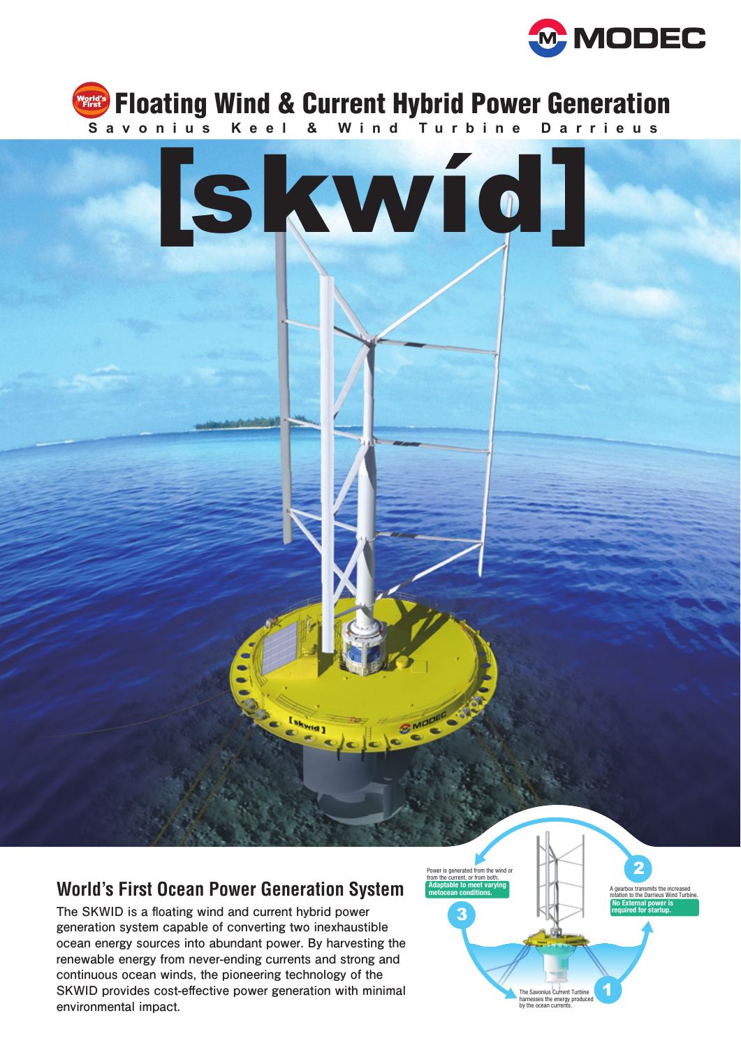





## **World's First Ocean Power Generation System**

**The SKWID is a floating wind and current hybrid power generation system capable of converting two inexhaustible ocean energy sources into abundant power. By harvesting the renewable energy from never-ending currents and strong and continuous ocean winds, the pioneering technology of the SKWID provides cost-effective power generation with minimal environmental impact.**